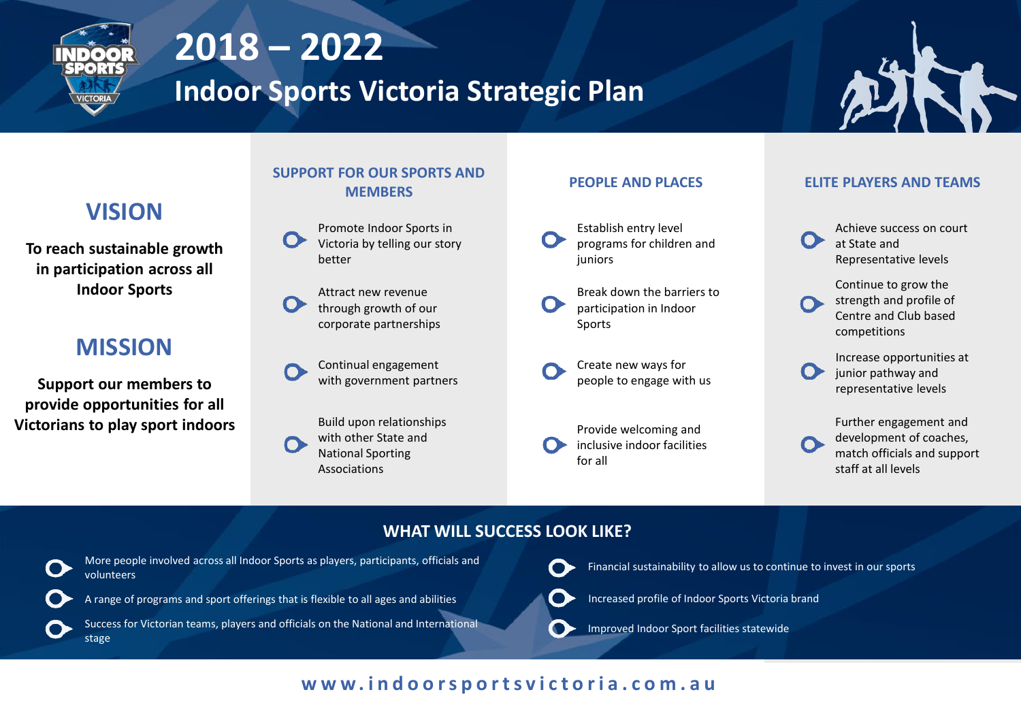

# **2018 – 2022**

**Indoor Sports Victoria Strategic Plan**



### **SUPPORT FOR OUR SPORTS AND MEMBERS PEOPLE AND PLACES ELITE PLAYERS AND TEAMS**



**To reach sustainable growth in participation across all Indoor Sports**

# **MISSION**

**Support our members to provide opportunities for all Victorians to play sport indoors**

# Promote Indoor Sports in

Victoria by telling our story better

Attract new revenue through growth of our corporate partnerships

Continual engagement with government partners

Build upon relationships with other State and National Sporting Associations

- Establish entry level programs for children and juniors
- Break down the barriers to participation in Indoor Sports
- Create new ways for people to engage with us
- Provide welcoming and inclusive indoor facilities for all

- Achieve success on court at State and Representative levels
- Continue to grow the strength and profile of Centre and Club based competitions
- Increase opportunities at junior pathway and representative levels
- Further engagement and development of coaches, match officials and support staff at all levels

# **WHAT WILL SUCCESS LOOK LIKE?**



More people involved across all Indoor Sports as players, participants, officials and volunteers



Success for Victorian teams, players and officials on the National and International stage

Financial sustainability to allow us to continue to invest in our sports



Increased profile of Indoor Sports Victoria brand

Improved Indoor Sport facilities statewide

# **w w w . i n d o o r s p o r t s v i c t o r i a . c o m . a u**